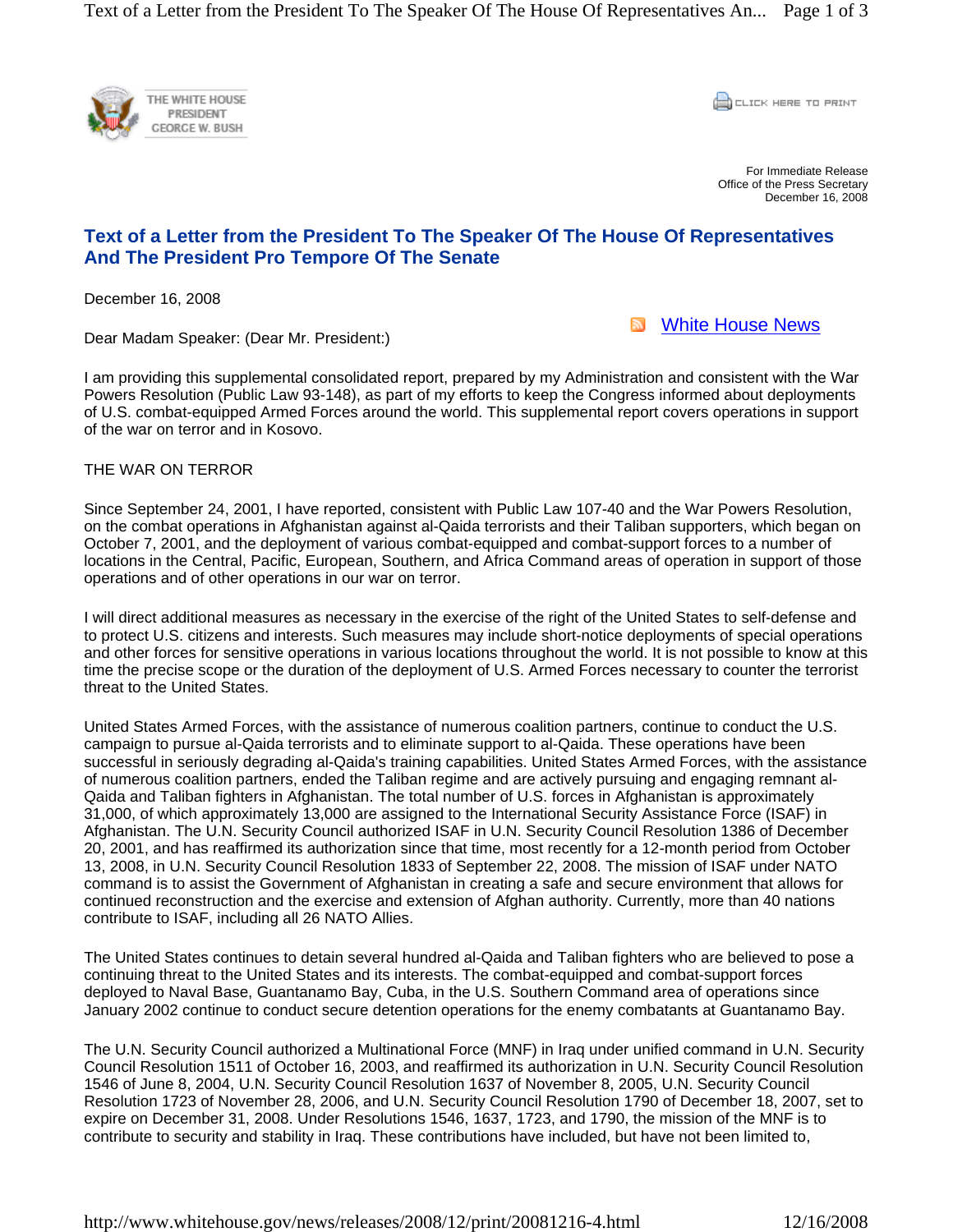



For Immediate Release Office of the Press Secretary December 16, 2008

## **Text of a Letter from the President To The Speaker Of The House Of Representatives And The President Pro Tempore Of The Senate**

December 16, 2008

Dear Madam Speaker: (Dear Mr. President:)

**N** White House News

I am providing this supplemental consolidated report, prepared by my Administration and consistent with the War Powers Resolution (Public Law 93-148), as part of my efforts to keep the Congress informed about deployments of U.S. combat-equipped Armed Forces around the world. This supplemental report covers operations in support of the war on terror and in Kosovo.

THE WAR ON TERROR

Since September 24, 2001, I have reported, consistent with Public Law 107-40 and the War Powers Resolution, on the combat operations in Afghanistan against al-Qaida terrorists and their Taliban supporters, which began on October 7, 2001, and the deployment of various combat-equipped and combat-support forces to a number of locations in the Central, Pacific, European, Southern, and Africa Command areas of operation in support of those operations and of other operations in our war on terror.

I will direct additional measures as necessary in the exercise of the right of the United States to self-defense and to protect U.S. citizens and interests. Such measures may include short-notice deployments of special operations and other forces for sensitive operations in various locations throughout the world. It is not possible to know at this time the precise scope or the duration of the deployment of U.S. Armed Forces necessary to counter the terrorist threat to the United States.

United States Armed Forces, with the assistance of numerous coalition partners, continue to conduct the U.S. campaign to pursue al-Qaida terrorists and to eliminate support to al-Qaida. These operations have been successful in seriously degrading al-Qaida's training capabilities. United States Armed Forces, with the assistance of numerous coalition partners, ended the Taliban regime and are actively pursuing and engaging remnant al-Qaida and Taliban fighters in Afghanistan. The total number of U.S. forces in Afghanistan is approximately 31,000, of which approximately 13,000 are assigned to the International Security Assistance Force (ISAF) in Afghanistan. The U.N. Security Council authorized ISAF in U.N. Security Council Resolution 1386 of December 20, 2001, and has reaffirmed its authorization since that time, most recently for a 12-month period from October 13, 2008, in U.N. Security Council Resolution 1833 of September 22, 2008. The mission of ISAF under NATO command is to assist the Government of Afghanistan in creating a safe and secure environment that allows for continued reconstruction and the exercise and extension of Afghan authority. Currently, more than 40 nations contribute to ISAF, including all 26 NATO Allies.

The United States continues to detain several hundred al-Qaida and Taliban fighters who are believed to pose a continuing threat to the United States and its interests. The combat-equipped and combat-support forces deployed to Naval Base, Guantanamo Bay, Cuba, in the U.S. Southern Command area of operations since January 2002 continue to conduct secure detention operations for the enemy combatants at Guantanamo Bay.

The U.N. Security Council authorized a Multinational Force (MNF) in Iraq under unified command in U.N. Security Council Resolution 1511 of October 16, 2003, and reaffirmed its authorization in U.N. Security Council Resolution 1546 of June 8, 2004, U.N. Security Council Resolution 1637 of November 8, 2005, U.N. Security Council Resolution 1723 of November 28, 2006, and U.N. Security Council Resolution 1790 of December 18, 2007, set to expire on December 31, 2008. Under Resolutions 1546, 1637, 1723, and 1790, the mission of the MNF is to contribute to security and stability in Iraq. These contributions have included, but have not been limited to,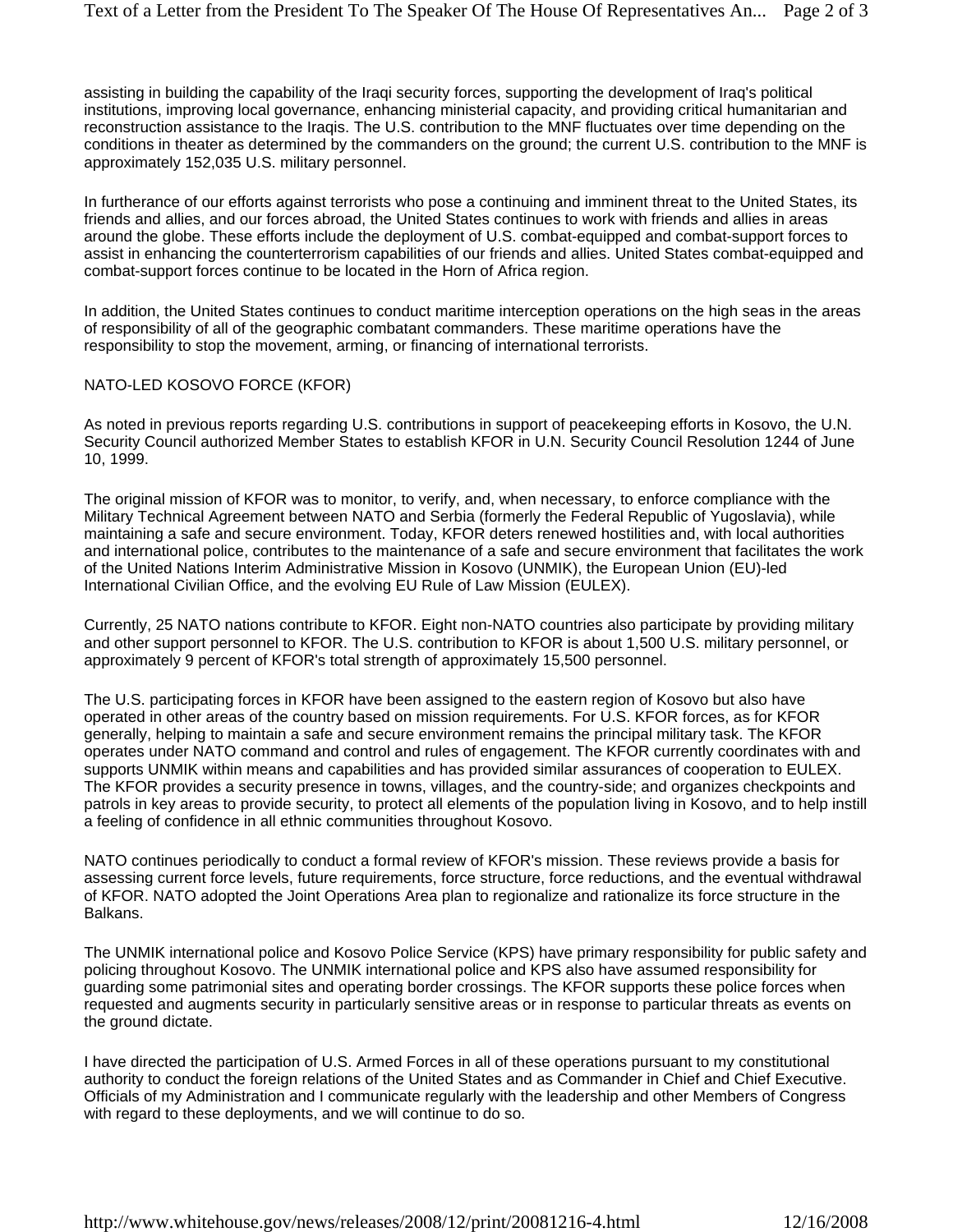assisting in building the capability of the Iraqi security forces, supporting the development of Iraq's political institutions, improving local governance, enhancing ministerial capacity, and providing critical humanitarian and reconstruction assistance to the Iraqis. The U.S. contribution to the MNF fluctuates over time depending on the conditions in theater as determined by the commanders on the ground; the current U.S. contribution to the MNF is approximately 152,035 U.S. military personnel.

In furtherance of our efforts against terrorists who pose a continuing and imminent threat to the United States, its friends and allies, and our forces abroad, the United States continues to work with friends and allies in areas around the globe. These efforts include the deployment of U.S. combat-equipped and combat-support forces to assist in enhancing the counterterrorism capabilities of our friends and allies. United States combat-equipped and combat-support forces continue to be located in the Horn of Africa region.

In addition, the United States continues to conduct maritime interception operations on the high seas in the areas of responsibility of all of the geographic combatant commanders. These maritime operations have the responsibility to stop the movement, arming, or financing of international terrorists.

## NATO-LED KOSOVO FORCE (KFOR)

As noted in previous reports regarding U.S. contributions in support of peacekeeping efforts in Kosovo, the U.N. Security Council authorized Member States to establish KFOR in U.N. Security Council Resolution 1244 of June 10, 1999.

The original mission of KFOR was to monitor, to verify, and, when necessary, to enforce compliance with the Military Technical Agreement between NATO and Serbia (formerly the Federal Republic of Yugoslavia), while maintaining a safe and secure environment. Today, KFOR deters renewed hostilities and, with local authorities and international police, contributes to the maintenance of a safe and secure environment that facilitates the work of the United Nations Interim Administrative Mission in Kosovo (UNMIK), the European Union (EU)-led International Civilian Office, and the evolving EU Rule of Law Mission (EULEX).

Currently, 25 NATO nations contribute to KFOR. Eight non-NATO countries also participate by providing military and other support personnel to KFOR. The U.S. contribution to KFOR is about 1,500 U.S. military personnel, or approximately 9 percent of KFOR's total strength of approximately 15,500 personnel.

The U.S. participating forces in KFOR have been assigned to the eastern region of Kosovo but also have operated in other areas of the country based on mission requirements. For U.S. KFOR forces, as for KFOR generally, helping to maintain a safe and secure environment remains the principal military task. The KFOR operates under NATO command and control and rules of engagement. The KFOR currently coordinates with and supports UNMIK within means and capabilities and has provided similar assurances of cooperation to EULEX. The KFOR provides a security presence in towns, villages, and the country-side; and organizes checkpoints and patrols in key areas to provide security, to protect all elements of the population living in Kosovo, and to help instill a feeling of confidence in all ethnic communities throughout Kosovo.

NATO continues periodically to conduct a formal review of KFOR's mission. These reviews provide a basis for assessing current force levels, future requirements, force structure, force reductions, and the eventual withdrawal of KFOR. NATO adopted the Joint Operations Area plan to regionalize and rationalize its force structure in the Balkans.

The UNMIK international police and Kosovo Police Service (KPS) have primary responsibility for public safety and policing throughout Kosovo. The UNMIK international police and KPS also have assumed responsibility for guarding some patrimonial sites and operating border crossings. The KFOR supports these police forces when requested and augments security in particularly sensitive areas or in response to particular threats as events on the ground dictate.

I have directed the participation of U.S. Armed Forces in all of these operations pursuant to my constitutional authority to conduct the foreign relations of the United States and as Commander in Chief and Chief Executive. Officials of my Administration and I communicate regularly with the leadership and other Members of Congress with regard to these deployments, and we will continue to do so.